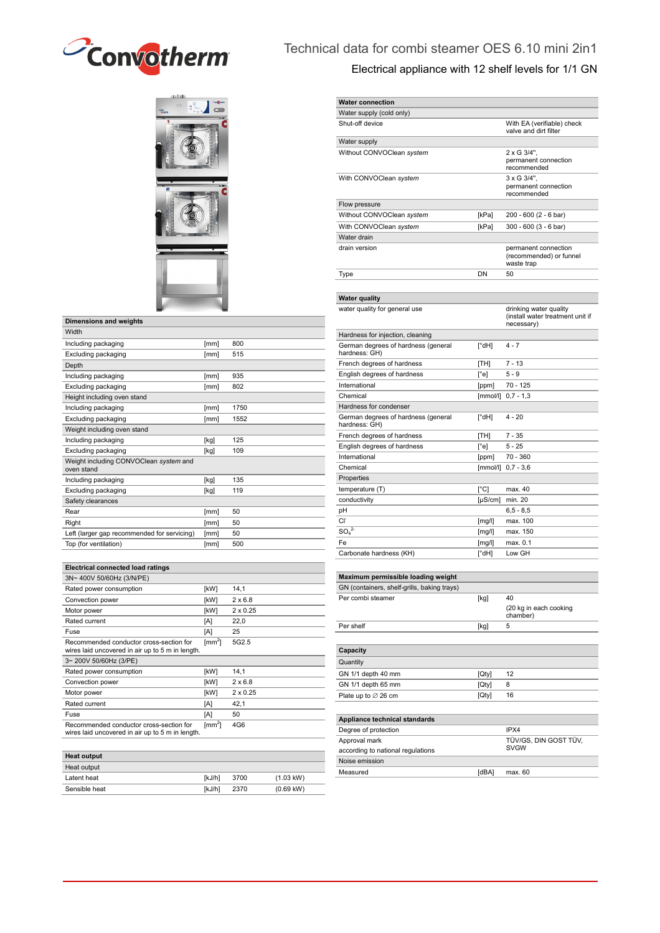



| <b>Dimensions and weights</b>                        |      |      |
|------------------------------------------------------|------|------|
| Width                                                |      |      |
| Including packaging                                  | [mm] | 800  |
| Excluding packaging                                  | [mm] | 515  |
| Depth                                                |      |      |
| Including packaging                                  | [mm] | 935  |
| Excluding packaging                                  | [mm] | 802  |
| Height including oven stand                          |      |      |
| Including packaging                                  | [mm] | 1750 |
| Excluding packaging                                  | [mm] | 1552 |
| Weight including oven stand                          |      |      |
| Including packaging                                  | [kg] | 125  |
| Excluding packaging                                  | [kg] | 109  |
| Weight including CONVOClean system and<br>oven stand |      |      |
| Including packaging                                  | [kg] | 135  |
| Excluding packaging                                  | [kg] | 119  |
| Safety clearances                                    |      |      |
| Rear                                                 | [mm] | 50   |
| Right                                                | [mm] | 50   |
| Left (larger gap recommended for servicing)          | [mm] | 50   |
| Top (for ventilation)                                | [mm] | 500  |

| <b>Electrical connected load ratings</b>                                                    |                |                 |
|---------------------------------------------------------------------------------------------|----------------|-----------------|
| 3N~400V 50/60Hz (3/N/PE)                                                                    |                |                 |
| Rated power consumption                                                                     | [kW]           | 14,1            |
| Convection power                                                                            | [kW]           | $2 \times 6.8$  |
| Motor power                                                                                 | [kW]           | $2 \times 0.25$ |
| Rated current                                                                               | [A]            | 22,0            |
| Fuse                                                                                        | [A]            | 25              |
| Recommended conductor cross-section for<br>wires laid uncovered in air up to 5 m in length. | $\text{[mm}^2$ | 5G2.5           |
| 3~200V 50/60Hz (3/PE)                                                                       |                |                 |
| Rated power consumption                                                                     | [kW]           | 14,1            |
| Convection power                                                                            | <b>IkW1</b>    | $2 \times 6.8$  |
| Motor power                                                                                 | [kW]           | $2 \times 0.25$ |
| Rated current                                                                               | [A]            | 42,1            |
| Fuse                                                                                        | [A]            | 50              |
| Recommended conductor cross-section for<br>wires laid uncovered in air up to 5 m in length. | $\text{[mm}^2$ | 4G6             |

| <b>Heat output</b> |        |      |                     |
|--------------------|--------|------|---------------------|
| Heat output        |        |      |                     |
| Latent heat        | [kJ/h] | 3700 | $(1.03 \text{ kW})$ |
| Sensible heat      | [kJ/h] | 2370 | $(0.69$ kW)         |

Noise emission

Measured [dBA] max. 60

## Technical data for combi steamer OES 6.10 mini 2in1

| Electrical appliance with 12 shelf levels for 1/1 GN |                      |                                                                          |  |  |  |
|------------------------------------------------------|----------------------|--------------------------------------------------------------------------|--|--|--|
| <b>Water connection</b>                              |                      |                                                                          |  |  |  |
| Water supply (cold only)                             |                      |                                                                          |  |  |  |
| Shut-off device                                      |                      | With EA (verifiable) check<br>valve and dirt filter                      |  |  |  |
| Water supply                                         |                      |                                                                          |  |  |  |
| Without CONVOClean system                            |                      | 2 x G 3/4".<br>permanent connection<br>recommended                       |  |  |  |
| With CONVOClean system                               |                      | $3 \times G$ 3/4".<br>permanent connection<br>recommended                |  |  |  |
| Flow pressure                                        |                      |                                                                          |  |  |  |
| Without CONVOClean system                            | [kPa]                | 200 - 600 (2 - 6 bar)                                                    |  |  |  |
| With CONVOClean system                               | [kPa]                | 300 - 600 (3 - 6 bar)                                                    |  |  |  |
| Water drain                                          |                      |                                                                          |  |  |  |
| drain version                                        |                      | permanent connection<br>(recommended) or funnel<br>waste trap            |  |  |  |
| Type                                                 | DN                   | 50                                                                       |  |  |  |
|                                                      |                      |                                                                          |  |  |  |
| <b>Water quality</b>                                 |                      |                                                                          |  |  |  |
| water quality for general use                        |                      | drinking water quality<br>(install water treatment unit if<br>necessary) |  |  |  |
| Hardness for injection, cleaning                     |                      |                                                                          |  |  |  |
| German degrees of hardness (general<br>hardness: GH) | $\lceil^{\circ}$ dH] | $4 - 7$                                                                  |  |  |  |
| French degrees of hardness                           | [TH]                 | $7 - 13$                                                                 |  |  |  |
| English degrees of hardness                          | $[^{\circ}$ e]       | $5 - 9$                                                                  |  |  |  |
| International                                        | [ppm]                | 70 - 125                                                                 |  |  |  |
| Chemical                                             |                      | [mmol/l] 0,7 - 1,3                                                       |  |  |  |
| Hardness for condenser                               |                      |                                                                          |  |  |  |
| German degrees of hardness (general<br>hardness: GH) | [°dH]                | 4 - 20                                                                   |  |  |  |
| French degrees of hardness                           | [TH]                 | $7 - 35$                                                                 |  |  |  |
| English degrees of hardness                          | $[^{\circ}$ e]       | $5 - 25$                                                                 |  |  |  |
| International                                        | [ppm]                | 70 - 360                                                                 |  |  |  |
| Chemical                                             |                      | [mmol/l] 0,7 - 3,6                                                       |  |  |  |
| Properties                                           |                      |                                                                          |  |  |  |
| temperature (T)                                      | $[^{\circ}C]$        | max. 40                                                                  |  |  |  |
| conductivity                                         | $[\mu S/cm]$         | min. 20                                                                  |  |  |  |
| рH<br>Сľ                                             | [mg/l]               | $6, 5 - 8, 5$<br>max. 100                                                |  |  |  |
| $SO_4^2$                                             | [mg/l]               | max. 150                                                                 |  |  |  |
| Fe                                                   | [mg/l]               | max. 0.1                                                                 |  |  |  |
| Carbonate hardness (KH)                              | $[^{\circ}$ dH]      | Low GH                                                                   |  |  |  |
|                                                      |                      |                                                                          |  |  |  |
| Maximum permissible loading weight                   |                      |                                                                          |  |  |  |
| GN (containers, shelf-grills, baking trays)          |                      |                                                                          |  |  |  |
| Per combi steamer                                    | [kg]                 | 40<br>(20 kg in each cooking<br>chamber)                                 |  |  |  |
| Per shelf                                            | [kg]                 | 5                                                                        |  |  |  |
|                                                      |                      |                                                                          |  |  |  |
|                                                      |                      |                                                                          |  |  |  |
| Capacity                                             |                      |                                                                          |  |  |  |
| Quantity                                             |                      |                                                                          |  |  |  |
| GN 1/1 depth 40 mm                                   | [Qty]                | 12                                                                       |  |  |  |
| GN 1/1 depth 65 mm                                   | [Qty]                | 8                                                                        |  |  |  |
| Plate up to $\varnothing$ 26 cm                      | [Qty]                | 16                                                                       |  |  |  |
|                                                      |                      |                                                                          |  |  |  |
| Appliance technical standards                        |                      |                                                                          |  |  |  |
| Degree of protection                                 |                      | IPX4                                                                     |  |  |  |
| Approval mark<br>according to national regulations   |                      | TÜV/GS, DIN GOST TÜV,<br><b>SVGW</b>                                     |  |  |  |
|                                                      |                      |                                                                          |  |  |  |